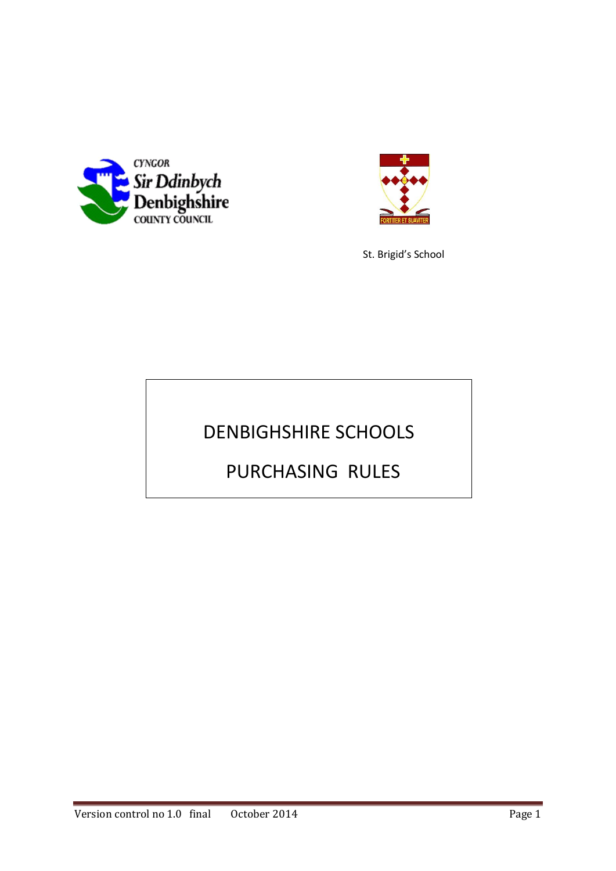



St. Brigid's School

# DENBIGHSHIRE SCHOOLS

# PURCHASING RULES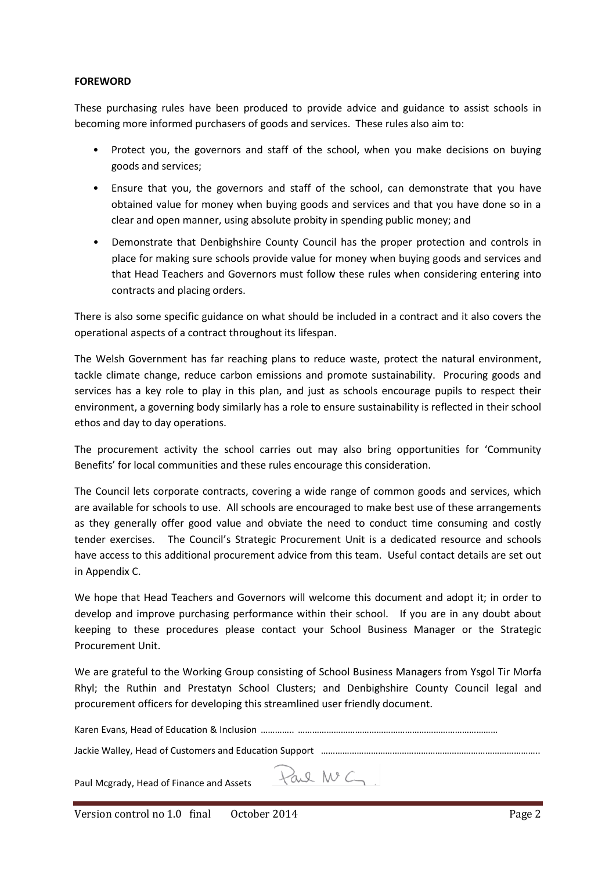#### **FOREWORD**

These purchasing rules have been produced to provide advice and guidance to assist schools in becoming more informed purchasers of goods and services. These rules also aim to:

- Protect you, the governors and staff of the school, when you make decisions on buying goods and services;
- Ensure that you, the governors and staff of the school, can demonstrate that you have obtained value for money when buying goods and services and that you have done so in a clear and open manner, using absolute probity in spending public money; and
- Demonstrate that Denbighshire County Council has the proper protection and controls in place for making sure schools provide value for money when buying goods and services and that Head Teachers and Governors must follow these rules when considering entering into contracts and placing orders.

There is also some specific guidance on what should be included in a contract and it also covers the operational aspects of a contract throughout its lifespan.

The Welsh Government has far reaching plans to reduce waste, protect the natural environment, tackle climate change, reduce carbon emissions and promote sustainability. Procuring goods and services has a key role to play in this plan, and just as schools encourage pupils to respect their environment, a governing body similarly has a role to ensure sustainability is reflected in their school ethos and day to day operations.

The procurement activity the school carries out may also bring opportunities for 'Community Benefits' for local communities and these rules encourage this consideration.

The Council lets corporate contracts, covering a wide range of common goods and services, which are available for schools to use. All schools are encouraged to make best use of these arrangements as they generally offer good value and obviate the need to conduct time consuming and costly tender exercises. The Council's Strategic Procurement Unit is a dedicated resource and schools have access to this additional procurement advice from this team. Useful contact details are set out in Appendix C.

We hope that Head Teachers and Governors will welcome this document and adopt it; in order to develop and improve purchasing performance within their school. If you are in any doubt about keeping to these procedures please contact your School Business Manager or the Strategic Procurement Unit.

We are grateful to the Working Group consisting of School Business Managers from Ysgol Tir Morfa Rhyl; the Ruthin and Prestatyn School Clusters; and Denbighshire County Council legal and procurement officers for developing this streamlined user friendly document.

|                                                    | Jackie Walley, Head of Customers and Education Support manufacture manufacture was manufactured under |
|----------------------------------------------------|-------------------------------------------------------------------------------------------------------|
| Taul Mcgrady, Head of Finance and Assets Raul M& C |                                                                                                       |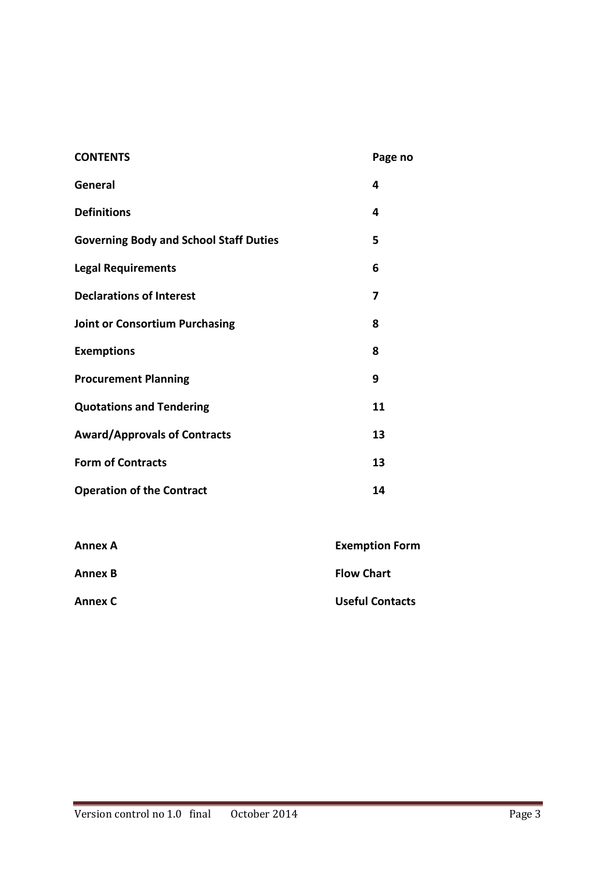| <b>CONTENTS</b>                               | Page no |
|-----------------------------------------------|---------|
| General                                       | 4       |
| <b>Definitions</b>                            | 4       |
| <b>Governing Body and School Staff Duties</b> | 5       |
| <b>Legal Requirements</b>                     | 6       |
| <b>Declarations of Interest</b>               | 7       |
| <b>Joint or Consortium Purchasing</b>         | 8       |
| <b>Exemptions</b>                             | 8       |
| <b>Procurement Planning</b>                   | 9       |
| <b>Quotations and Tendering</b>               | 11      |
| <b>Award/Approvals of Contracts</b>           | 13      |
| <b>Form of Contracts</b>                      | 13      |
| <b>Operation of the Contract</b>              | 14      |

| <b>Annex A</b> | <b>Exemption Form</b>  |
|----------------|------------------------|
| <b>Annex B</b> | <b>Flow Chart</b>      |
| <b>Annex C</b> | <b>Useful Contacts</b> |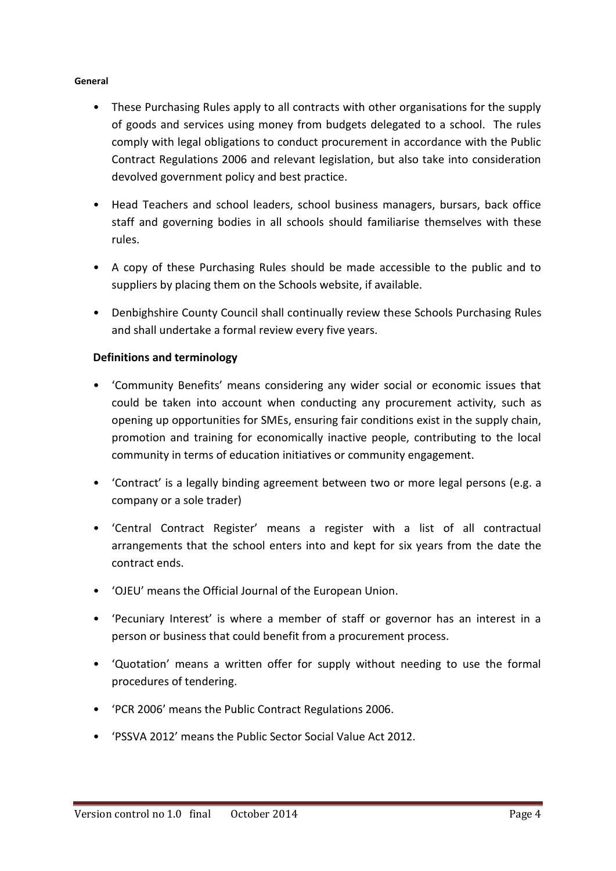#### **General**

- These Purchasing Rules apply to all contracts with other organisations for the supply of goods and services using money from budgets delegated to a school. The rules comply with legal obligations to conduct procurement in accordance with the Public Contract Regulations 2006 and relevant legislation, but also take into consideration devolved government policy and best practice.
- Head Teachers and school leaders, school business managers, bursars, back office staff and governing bodies in all schools should familiarise themselves with these rules.
- A copy of these Purchasing Rules should be made accessible to the public and to suppliers by placing them on the Schools website, if available.
- Denbighshire County Council shall continually review these Schools Purchasing Rules and shall undertake a formal review every five years.

## **Definitions and terminology**

- 'Community Benefits' means considering any wider social or economic issues that could be taken into account when conducting any procurement activity, such as opening up opportunities for SMEs, ensuring fair conditions exist in the supply chain, promotion and training for economically inactive people, contributing to the local community in terms of education initiatives or community engagement.
- 'Contract' is a legally binding agreement between two or more legal persons (e.g. a company or a sole trader)
- 'Central Contract Register' means a register with a list of all contractual arrangements that the school enters into and kept for six years from the date the contract ends.
- 'OJEU' means the Official Journal of the European Union.
- 'Pecuniary Interest' is where a member of staff or governor has an interest in a person or business that could benefit from a procurement process.
- 'Quotation' means a written offer for supply without needing to use the formal procedures of tendering.
- 'PCR 2006' means the Public Contract Regulations 2006.
- 'PSSVA 2012' means the Public Sector Social Value Act 2012.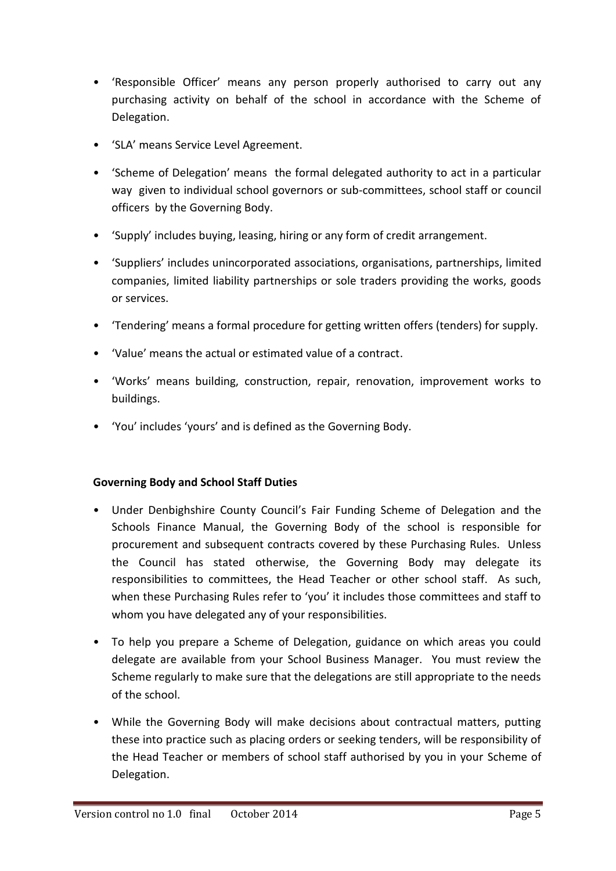- 'Responsible Officer' means any person properly authorised to carry out any purchasing activity on behalf of the school in accordance with the Scheme of Delegation.
- 'SLA' means Service Level Agreement.
- 'Scheme of Delegation' means the formal delegated authority to act in a particular way given to individual school governors or sub-committees, school staff or council officers by the Governing Body.
- 'Supply' includes buying, leasing, hiring or any form of credit arrangement.
- 'Suppliers' includes unincorporated associations, organisations, partnerships, limited companies, limited liability partnerships or sole traders providing the works, goods or services.
- 'Tendering' means a formal procedure for getting written offers (tenders) for supply.
- 'Value' means the actual or estimated value of a contract.
- 'Works' means building, construction, repair, renovation, improvement works to buildings.
- 'You' includes 'yours' and is defined as the Governing Body.

## **Governing Body and School Staff Duties**

- Under Denbighshire County Council's Fair Funding Scheme of Delegation and the Schools Finance Manual, the Governing Body of the school is responsible for procurement and subsequent contracts covered by these Purchasing Rules. Unless the Council has stated otherwise, the Governing Body may delegate its responsibilities to committees, the Head Teacher or other school staff. As such, when these Purchasing Rules refer to 'you' it includes those committees and staff to whom you have delegated any of your responsibilities.
- To help you prepare a Scheme of Delegation, guidance on which areas you could delegate are available from your School Business Manager. You must review the Scheme regularly to make sure that the delegations are still appropriate to the needs of the school.
- While the Governing Body will make decisions about contractual matters, putting these into practice such as placing orders or seeking tenders, will be responsibility of the Head Teacher or members of school staff authorised by you in your Scheme of Delegation.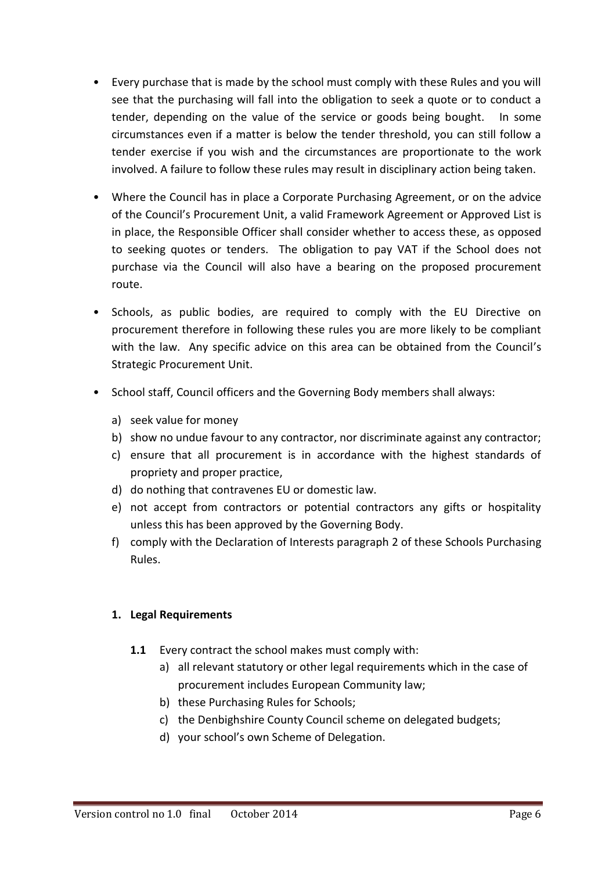- Every purchase that is made by the school must comply with these Rules and you will see that the purchasing will fall into the obligation to seek a quote or to conduct a tender, depending on the value of the service or goods being bought. In some circumstances even if a matter is below the tender threshold, you can still follow a tender exercise if you wish and the circumstances are proportionate to the work involved. A failure to follow these rules may result in disciplinary action being taken.
- Where the Council has in place a Corporate Purchasing Agreement, or on the advice of the Council's Procurement Unit, a valid Framework Agreement or Approved List is in place, the Responsible Officer shall consider whether to access these, as opposed to seeking quotes or tenders. The obligation to pay VAT if the School does not purchase via the Council will also have a bearing on the proposed procurement route.
- Schools, as public bodies, are required to comply with the EU Directive on procurement therefore in following these rules you are more likely to be compliant with the law. Any specific advice on this area can be obtained from the Council's Strategic Procurement Unit.
- School staff, Council officers and the Governing Body members shall always:
	- a) seek value for money
	- b) show no undue favour to any contractor, nor discriminate against any contractor;
	- c) ensure that all procurement is in accordance with the highest standards of propriety and proper practice,
	- d) do nothing that contravenes EU or domestic law.
	- e) not accept from contractors or potential contractors any gifts or hospitality unless this has been approved by the Governing Body.
	- f) comply with the Declaration of Interests paragraph 2 of these Schools Purchasing Rules.

# **1. Legal Requirements**

- **1.1** Every contract the school makes must comply with:
	- a) all relevant statutory or other legal requirements which in the case of procurement includes European Community law;
	- b) these Purchasing Rules for Schools;
	- c) the Denbighshire County Council scheme on delegated budgets;
	- d) your school's own Scheme of Delegation.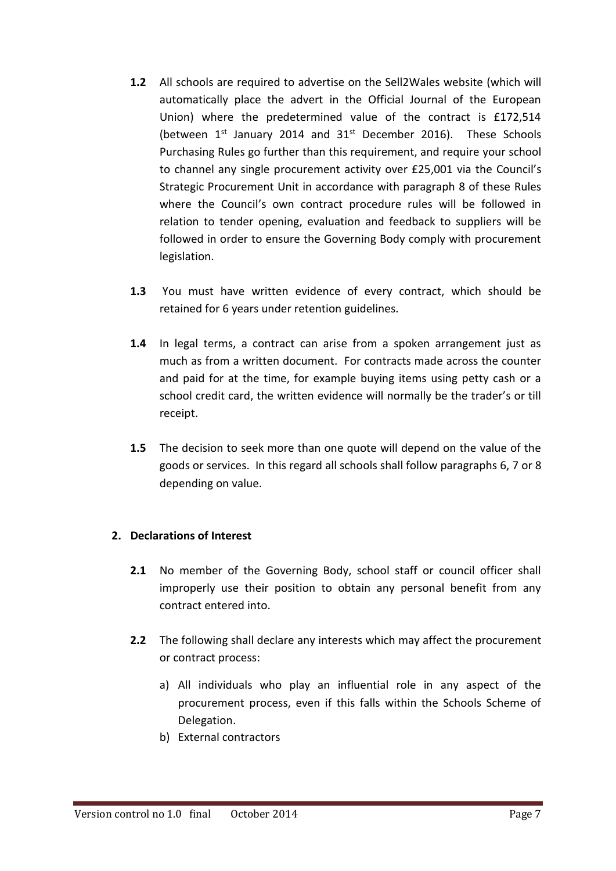- **1.2** All schools are required to advertise on the Sell2Wales website (which will automatically place the advert in the Official Journal of the European Union) where the predetermined value of the contract is £172,514 (between  $1^{st}$  January 2014 and  $31^{st}$  December 2016). These Schools Purchasing Rules go further than this requirement, and require your school to channel any single procurement activity over £25,001 via the Council's Strategic Procurement Unit in accordance with paragraph 8 of these Rules where the Council's own contract procedure rules will be followed in relation to tender opening, evaluation and feedback to suppliers will be followed in order to ensure the Governing Body comply with procurement legislation.
- **1.3** You must have written evidence of every contract, which should be retained for 6 years under retention guidelines.
- **1.4** In legal terms, a contract can arise from a spoken arrangement just as much as from a written document. For contracts made across the counter and paid for at the time, for example buying items using petty cash or a school credit card, the written evidence will normally be the trader's or till receipt.
- **1.5** The decision to seek more than one quote will depend on the value of the goods or services. In this regard all schools shall follow paragraphs 6, 7 or 8 depending on value.

## **2. Declarations of Interest**

- **2.1** No member of the Governing Body, school staff or council officer shall improperly use their position to obtain any personal benefit from any contract entered into.
- **2.2** The following shall declare any interests which may affect the procurement or contract process:
	- a) All individuals who play an influential role in any aspect of the procurement process, even if this falls within the Schools Scheme of Delegation.
	- b) External contractors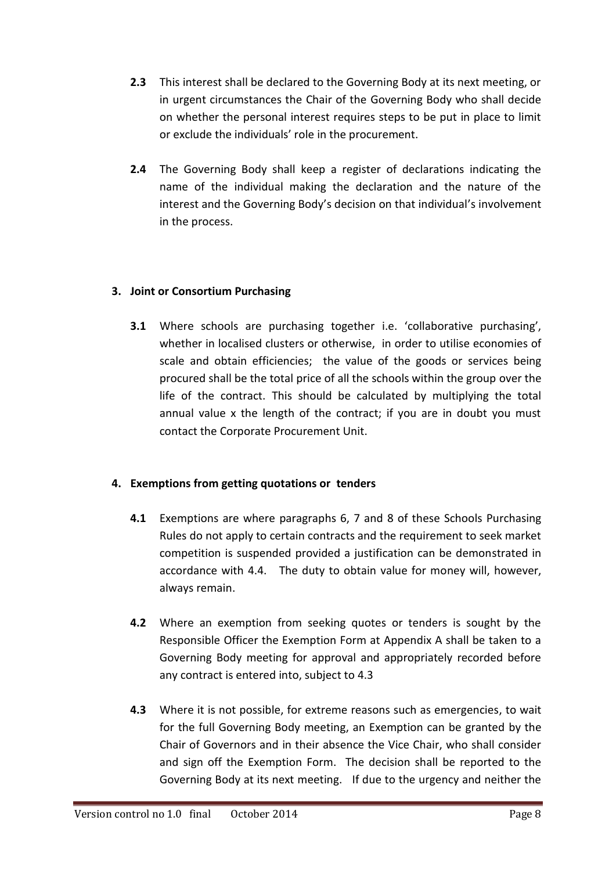- **2.3** This interest shall be declared to the Governing Body at its next meeting, or in urgent circumstances the Chair of the Governing Body who shall decide on whether the personal interest requires steps to be put in place to limit or exclude the individuals' role in the procurement.
- **2.4** The Governing Body shall keep a register of declarations indicating the name of the individual making the declaration and the nature of the interest and the Governing Body's decision on that individual's involvement in the process.

# **3. Joint or Consortium Purchasing**

**3.1** Where schools are purchasing together i.e. 'collaborative purchasing', whether in localised clusters or otherwise, in order to utilise economies of scale and obtain efficiencies; the value of the goods or services being procured shall be the total price of all the schools within the group over the life of the contract. This should be calculated by multiplying the total annual value x the length of the contract; if you are in doubt you must contact the Corporate Procurement Unit.

## **4. Exemptions from getting quotations or tenders**

- **4.1** Exemptions are where paragraphs 6, 7 and 8 of these Schools Purchasing Rules do not apply to certain contracts and the requirement to seek market competition is suspended provided a justification can be demonstrated in accordance with 4.4. The duty to obtain value for money will, however, always remain.
- **4.2** Where an exemption from seeking quotes or tenders is sought by the Responsible Officer the Exemption Form at Appendix A shall be taken to a Governing Body meeting for approval and appropriately recorded before any contract is entered into, subject to 4.3
- **4.3** Where it is not possible, for extreme reasons such as emergencies, to wait for the full Governing Body meeting, an Exemption can be granted by the Chair of Governors and in their absence the Vice Chair, who shall consider and sign off the Exemption Form. The decision shall be reported to the Governing Body at its next meeting. If due to the urgency and neither the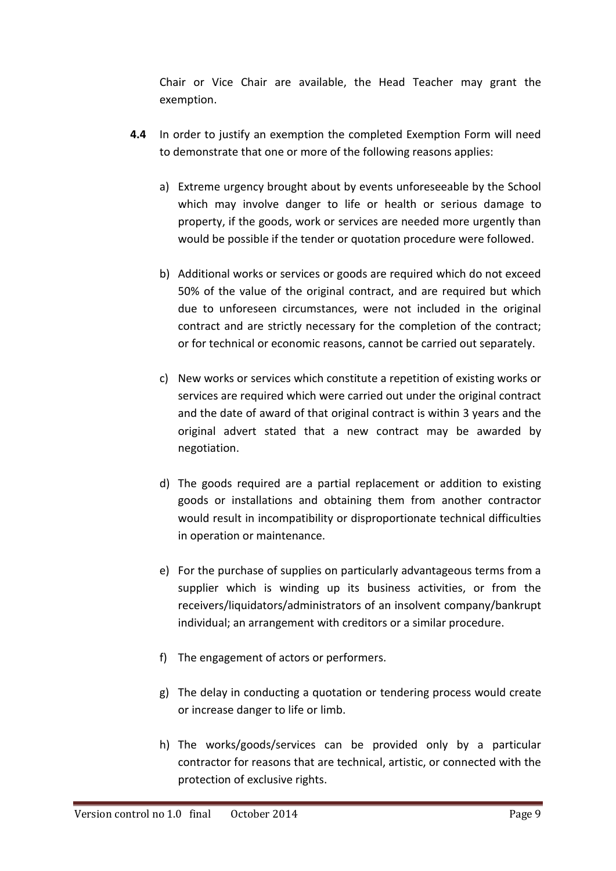Chair or Vice Chair are available, the Head Teacher may grant the exemption.

- **4.4** In order to justify an exemption the completed Exemption Form will need to demonstrate that one or more of the following reasons applies:
	- a) Extreme urgency brought about by events unforeseeable by the School which may involve danger to life or health or serious damage to property, if the goods, work or services are needed more urgently than would be possible if the tender or quotation procedure were followed.
	- b) Additional works or services or goods are required which do not exceed 50% of the value of the original contract, and are required but which due to unforeseen circumstances, were not included in the original contract and are strictly necessary for the completion of the contract; or for technical or economic reasons, cannot be carried out separately.
	- c) New works or services which constitute a repetition of existing works or services are required which were carried out under the original contract and the date of award of that original contract is within 3 years and the original advert stated that a new contract may be awarded by negotiation.
	- d) The goods required are a partial replacement or addition to existing goods or installations and obtaining them from another contractor would result in incompatibility or disproportionate technical difficulties in operation or maintenance.
	- e) For the purchase of supplies on particularly advantageous terms from a supplier which is winding up its business activities, or from the receivers/liquidators/administrators of an insolvent company/bankrupt individual; an arrangement with creditors or a similar procedure.
	- f) The engagement of actors or performers.
	- g) The delay in conducting a quotation or tendering process would create or increase danger to life or limb.
	- h) The works/goods/services can be provided only by a particular contractor for reasons that are technical, artistic, or connected with the protection of exclusive rights.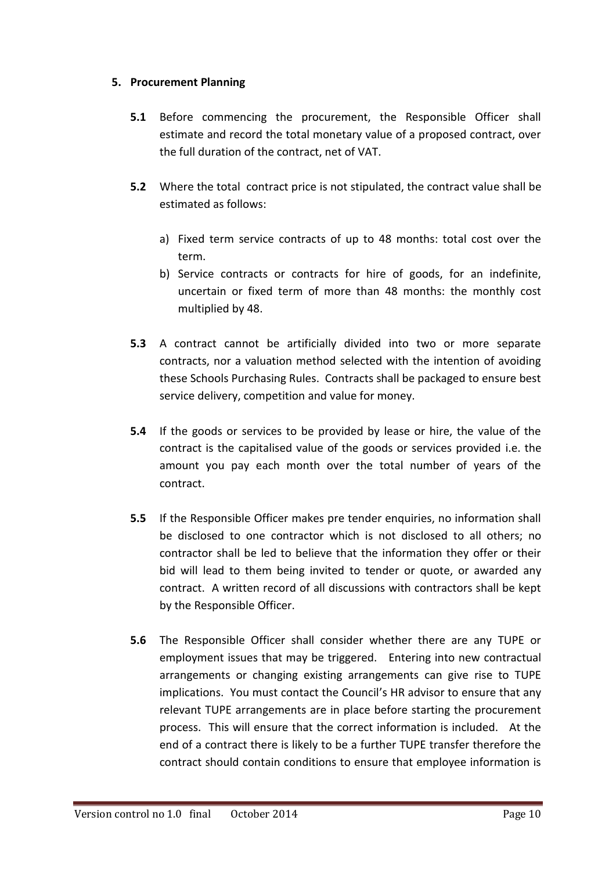#### **5. Procurement Planning**

- **5.1** Before commencing the procurement, the Responsible Officer shall estimate and record the total monetary value of a proposed contract, over the full duration of the contract, net of VAT.
- **5.2** Where the total contract price is not stipulated, the contract value shall be estimated as follows:
	- a) Fixed term service contracts of up to 48 months: total cost over the term.
	- b) Service contracts or contracts for hire of goods, for an indefinite, uncertain or fixed term of more than 48 months: the monthly cost multiplied by 48.
- **5.3** A contract cannot be artificially divided into two or more separate contracts, nor a valuation method selected with the intention of avoiding these Schools Purchasing Rules. Contracts shall be packaged to ensure best service delivery, competition and value for money.
- **5.4** If the goods or services to be provided by lease or hire, the value of the contract is the capitalised value of the goods or services provided i.e. the amount you pay each month over the total number of years of the contract.
- **5.5** If the Responsible Officer makes pre tender enquiries, no information shall be disclosed to one contractor which is not disclosed to all others; no contractor shall be led to believe that the information they offer or their bid will lead to them being invited to tender or quote, or awarded any contract. A written record of all discussions with contractors shall be kept by the Responsible Officer.
- **5.6** The Responsible Officer shall consider whether there are any TUPE or employment issues that may be triggered. Entering into new contractual arrangements or changing existing arrangements can give rise to TUPE implications. You must contact the Council's HR advisor to ensure that any relevant TUPE arrangements are in place before starting the procurement process. This will ensure that the correct information is included. At the end of a contract there is likely to be a further TUPE transfer therefore the contract should contain conditions to ensure that employee information is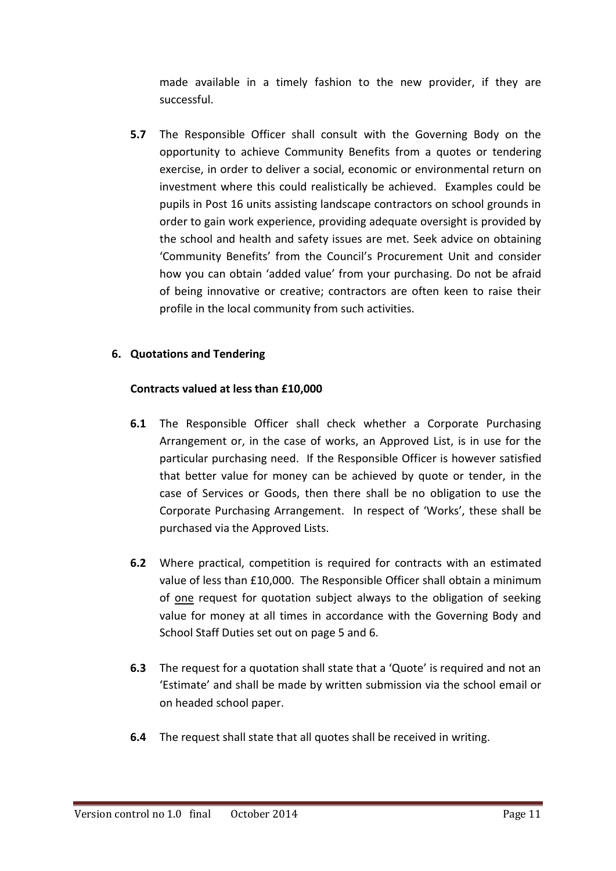made available in a timely fashion to the new provider, if they are successful.

**5.7** The Responsible Officer shall consult with the Governing Body on the opportunity to achieve Community Benefits from a quotes or tendering exercise, in order to deliver a social, economic or environmental return on investment where this could realistically be achieved. Examples could be pupils in Post 16 units assisting landscape contractors on school grounds in order to gain work experience, providing adequate oversight is provided by the school and health and safety issues are met. Seek advice on obtaining 'Community Benefits' from the Council's Procurement Unit and consider how you can obtain 'added value' from your purchasing. Do not be afraid of being innovative or creative; contractors are often keen to raise their profile in the local community from such activities.

#### **6. Quotations and Tendering**

#### **Contracts valued at less than £10,000**

- **6.1** The Responsible Officer shall check whether a Corporate Purchasing Arrangement or, in the case of works, an Approved List, is in use for the particular purchasing need. If the Responsible Officer is however satisfied that better value for money can be achieved by quote or tender, in the case of Services or Goods, then there shall be no obligation to use the Corporate Purchasing Arrangement. In respect of 'Works', these shall be purchased via the Approved Lists.
- **6.2** Where practical, competition is required for contracts with an estimated value of less than £10,000. The Responsible Officer shall obtain a minimum of one request for quotation subject always to the obligation of seeking value for money at all times in accordance with the Governing Body and School Staff Duties set out on page 5 and 6.
- **6.3** The request for a quotation shall state that a 'Quote' is required and not an 'Estimate' and shall be made by written submission via the school email or on headed school paper.
- **6.4** The request shall state that all quotes shall be received in writing.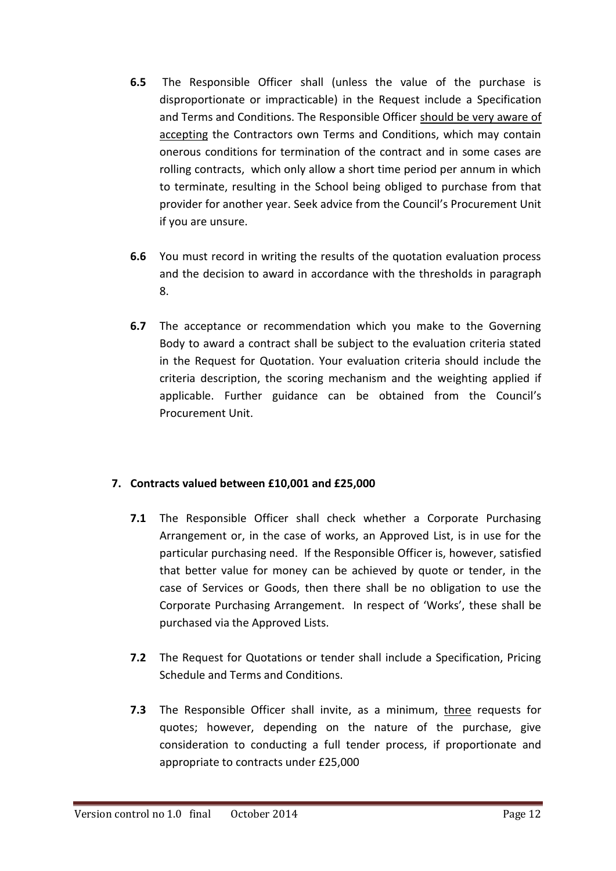- **6.5** The Responsible Officer shall (unless the value of the purchase is disproportionate or impracticable) in the Request include a Specification and Terms and Conditions. The Responsible Officer should be very aware of accepting the Contractors own Terms and Conditions, which may contain onerous conditions for termination of the contract and in some cases are rolling contracts, which only allow a short time period per annum in which to terminate, resulting in the School being obliged to purchase from that provider for another year. Seek advice from the Council's Procurement Unit if you are unsure.
- **6.6** You must record in writing the results of the quotation evaluation process and the decision to award in accordance with the thresholds in paragraph 8.
- **6.7** The acceptance or recommendation which you make to the Governing Body to award a contract shall be subject to the evaluation criteria stated in the Request for Quotation. Your evaluation criteria should include the criteria description, the scoring mechanism and the weighting applied if applicable. Further guidance can be obtained from the Council's Procurement Unit.

# **7. Contracts valued between £10,001 and £25,000**

- **7.1** The Responsible Officer shall check whether a Corporate Purchasing Arrangement or, in the case of works, an Approved List, is in use for the particular purchasing need. If the Responsible Officer is, however, satisfied that better value for money can be achieved by quote or tender, in the case of Services or Goods, then there shall be no obligation to use the Corporate Purchasing Arrangement. In respect of 'Works', these shall be purchased via the Approved Lists.
- **7.2** The Request for Quotations or tender shall include a Specification, Pricing Schedule and Terms and Conditions.
- **7.3** The Responsible Officer shall invite, as a minimum, three requests for quotes; however, depending on the nature of the purchase, give consideration to conducting a full tender process, if proportionate and appropriate to contracts under £25,000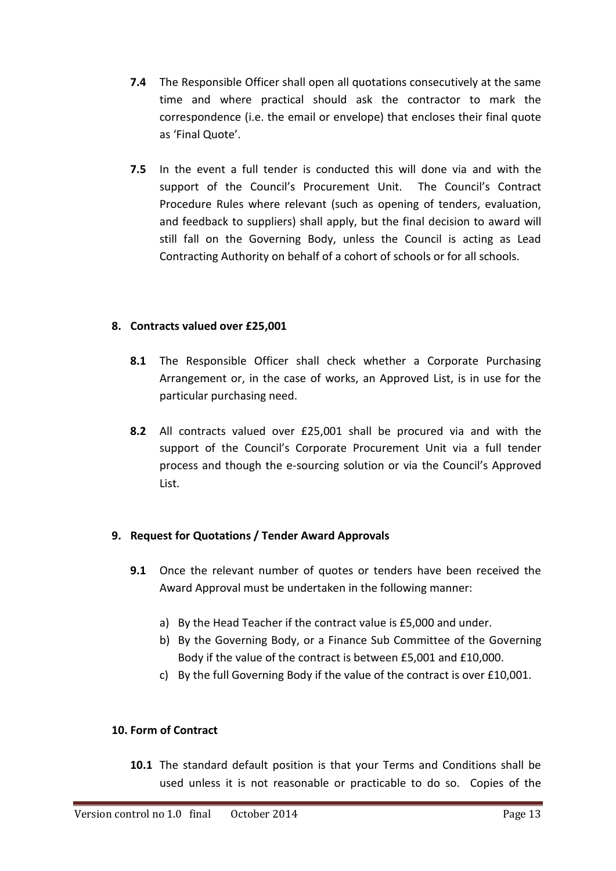- **7.4** The Responsible Officer shall open all quotations consecutively at the same time and where practical should ask the contractor to mark the correspondence (i.e. the email or envelope) that encloses their final quote as 'Final Quote'.
- **7.5** In the event a full tender is conducted this will done via and with the support of the Council's Procurement Unit. The Council's Contract Procedure Rules where relevant (such as opening of tenders, evaluation, and feedback to suppliers) shall apply, but the final decision to award will still fall on the Governing Body, unless the Council is acting as Lead Contracting Authority on behalf of a cohort of schools or for all schools.

## **8. Contracts valued over £25,001**

- **8.1** The Responsible Officer shall check whether a Corporate Purchasing Arrangement or, in the case of works, an Approved List, is in use for the particular purchasing need.
- **8.2** All contracts valued over £25,001 shall be procured via and with the support of the Council's Corporate Procurement Unit via a full tender process and though the e-sourcing solution or via the Council's Approved List.

## **9. Request for Quotations / Tender Award Approvals**

- **9.1** Once the relevant number of quotes or tenders have been received the Award Approval must be undertaken in the following manner:
	- a) By the Head Teacher if the contract value is £5,000 and under.
	- b) By the Governing Body, or a Finance Sub Committee of the Governing Body if the value of the contract is between £5,001 and £10,000.
	- c) By the full Governing Body if the value of the contract is over £10,001.

#### **10. Form of Contract**

**10.1** The standard default position is that your Terms and Conditions shall be used unless it is not reasonable or practicable to do so. Copies of the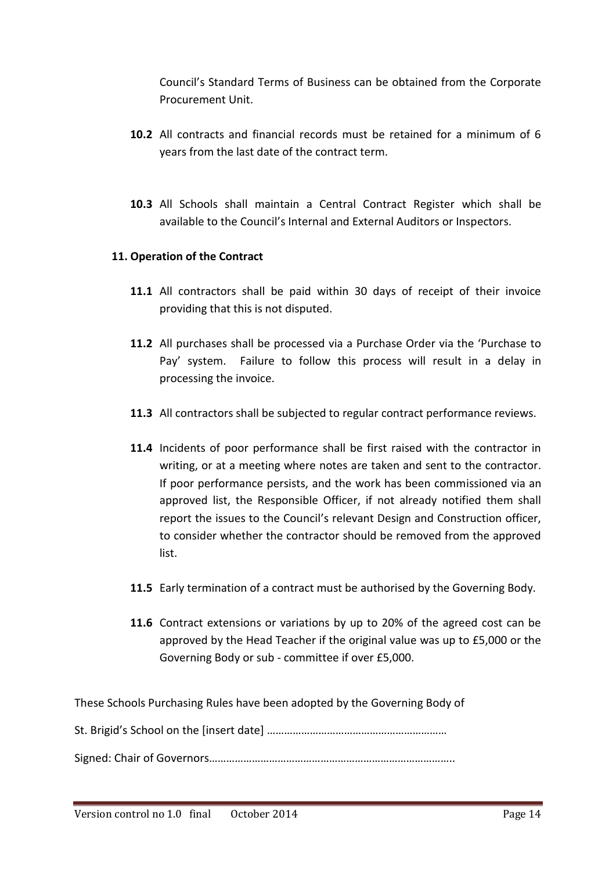Council's Standard Terms of Business can be obtained from the Corporate Procurement Unit.

- **10.2** All contracts and financial records must be retained for a minimum of 6 years from the last date of the contract term.
- **10.3** All Schools shall maintain a Central Contract Register which shall be available to the Council's Internal and External Auditors or Inspectors.

#### **11. Operation of the Contract**

- **11.1** All contractors shall be paid within 30 days of receipt of their invoice providing that this is not disputed.
- **11.2** All purchases shall be processed via a Purchase Order via the 'Purchase to Pay' system. Failure to follow this process will result in a delay in processing the invoice.
- **11.3** All contractors shall be subjected to regular contract performance reviews.
- **11.4** Incidents of poor performance shall be first raised with the contractor in writing, or at a meeting where notes are taken and sent to the contractor. If poor performance persists, and the work has been commissioned via an approved list, the Responsible Officer, if not already notified them shall report the issues to the Council's relevant Design and Construction officer, to consider whether the contractor should be removed from the approved list.
- **11.5** Early termination of a contract must be authorised by the Governing Body.
- **11.6** Contract extensions or variations by up to 20% of the agreed cost can be approved by the Head Teacher if the original value was up to £5,000 or the Governing Body or sub - committee if over £5,000.

These Schools Purchasing Rules have been adopted by the Governing Body of

St. Brigid's School on the [insert date] ………………………………………………………

Signed: Chair of Governors…………………………………………………………………………..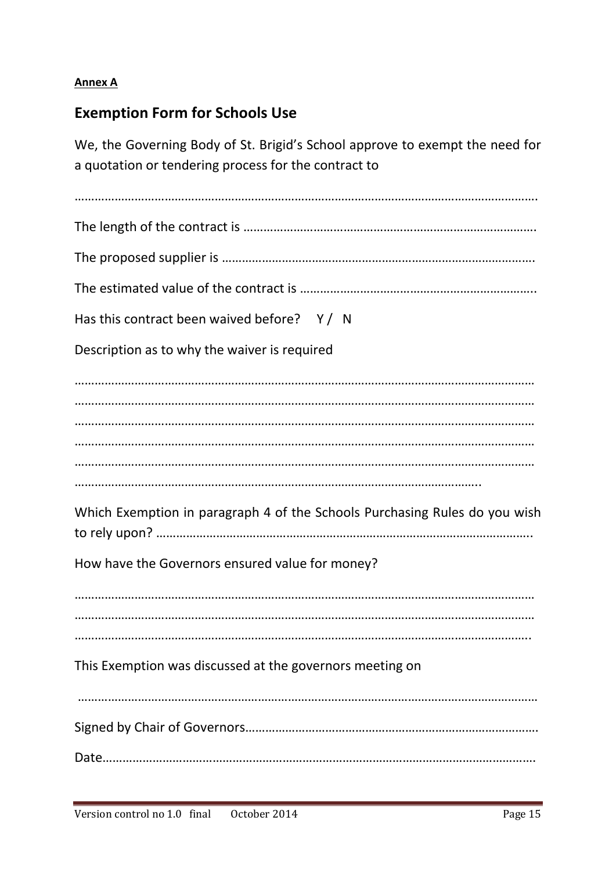# **Annex A**

# **Exemption Form for Schools Use**

We, the Governing Body of St. Brigid's School approve to exempt the need for a quotation or tendering process for the contract to

| Has this contract been waived before? Y/ N                                 |
|----------------------------------------------------------------------------|
| Description as to why the waiver is required                               |
|                                                                            |
|                                                                            |
| Which Exemption in paragraph 4 of the Schools Purchasing Rules do you wish |
| How have the Governors ensured value for money?                            |
|                                                                            |
| This Exemption was discussed at the governors meeting on                   |
|                                                                            |
|                                                                            |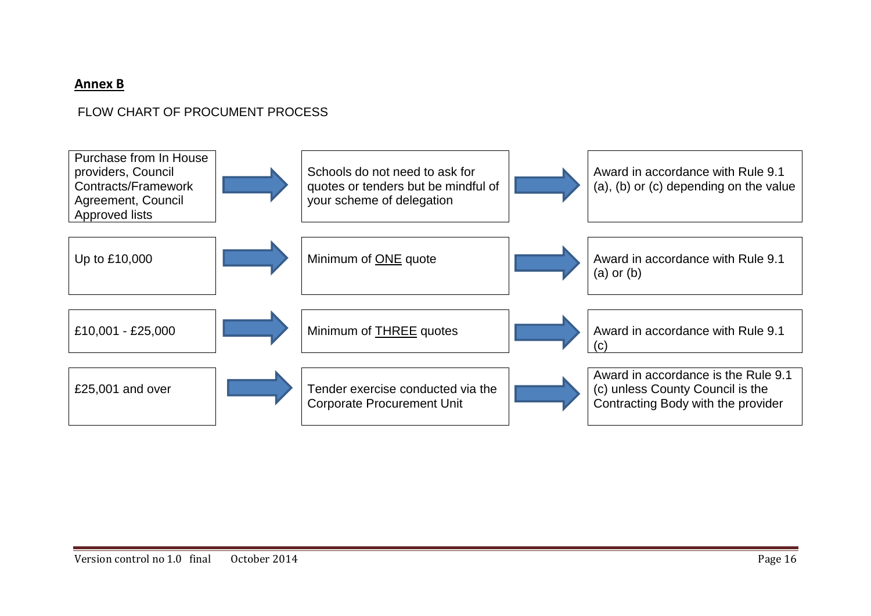# **Annex B**

# FLOW CHART OF PROCUMENT PROCESS